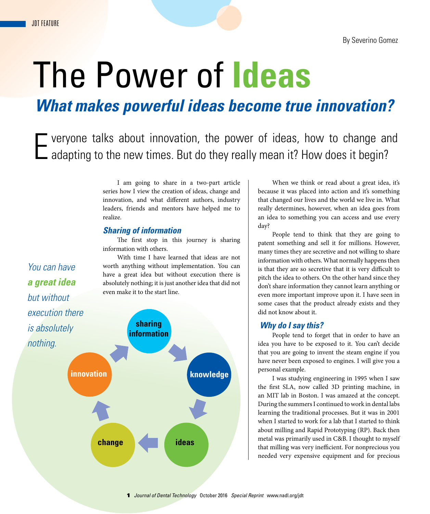*You can have* 

*a great idea* 

*but without* 

# The Power of **Ideas**

*What makes powerful ideas become true innovation?*

Everyone talks about innovation, the power of ideas, how to change and adapting to the new times. But do they really mean it? How does it begin?

I am going to share in a two-part article series how I view the creation of ideas, change and innovation, and what different authors, industry leaders, friends and mentors have helped me to realize.

## *Sharing of information*

The first stop in this journey is sharing information with others.

With time I have learned that ideas are not worth anything without implementation. You can have a great idea but without execution there is absolutely nothing; it is just another idea that did not even make it to the start line.

*execution there is absolutely nothing.* **innovation sharing information knowledge change ideas**

When we think or read about a great idea, it's because it was placed into action and it's something that changed our lives and the world we live in. What really determines, however, when an idea goes from an idea to something you can access and use every day?

People tend to think that they are going to patent something and sell it for millions. However, many times they are secretive and not willing to share information with others. What normally happens then is that they are so secretive that it is very difficult to pitch the idea to others. On the other hand since they don't share information they cannot learn anything or even more important improve upon it. I have seen in some cases that the product already exists and they did not know about it.

### *Why do I say this?*

People tend to forget that in order to have an idea you have to be exposed to it. You can't decide that you are going to invent the steam engine if you have never been exposed to engines. I will give you a personal example.

I was studying engineering in 1995 when I saw the first SLA, now called 3D printing machine, in an MIT lab in Boston. I was amazed at the concept. During the summers I continued to work in dental labs learning the traditional processes. But it was in 2001 when I started to work for a lab that I started to think about milling and Rapid Prototyping (RP). Back then metal was primarily used in C&B. I thought to myself that milling was very inefficient. For nonprecious you needed very expensive equipment and for precious